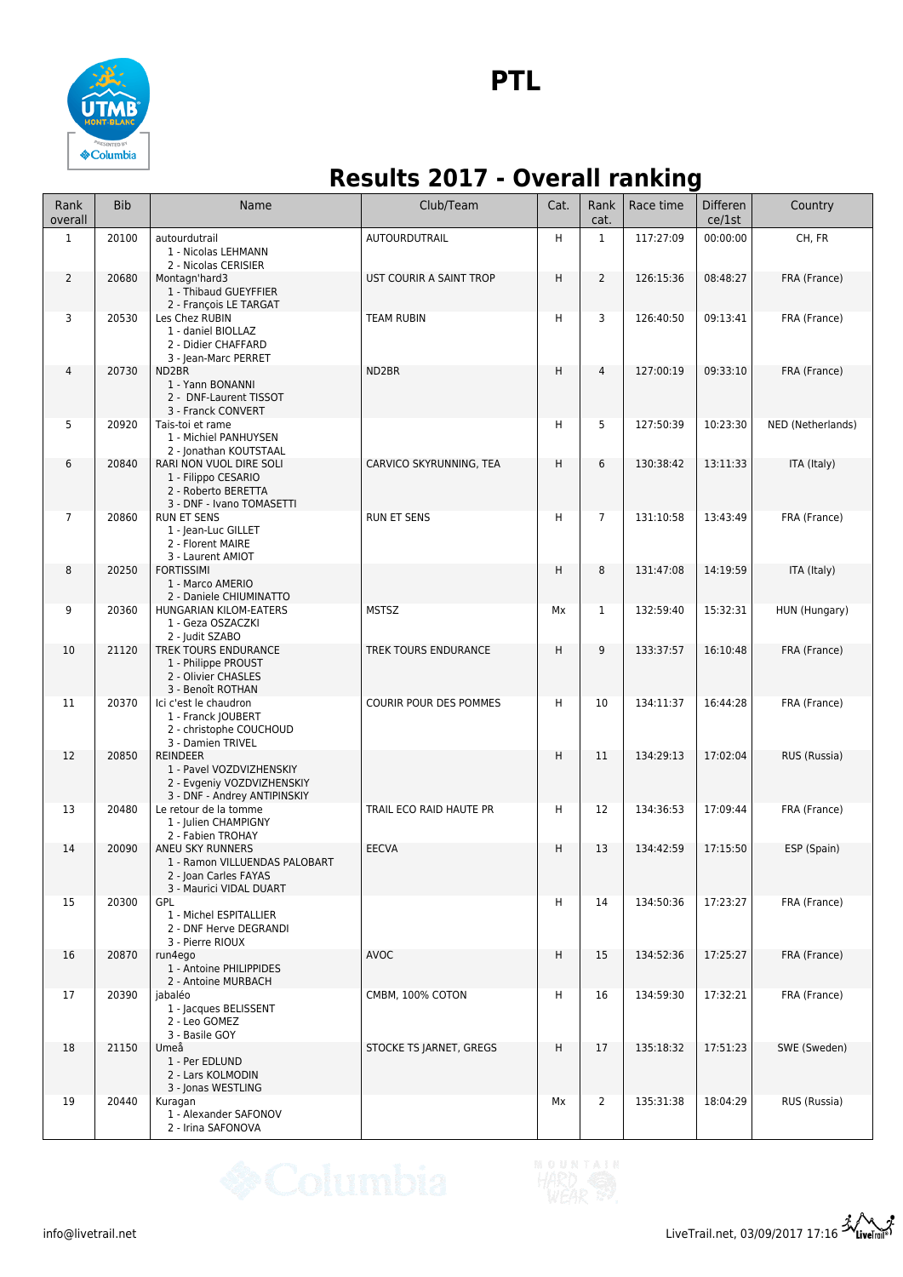

## **Results 2017 - Overall ranking**

| Rank<br>overall | <b>Bib</b> | Name                                                                                                      | Club/Team               | Cat. | Rank<br>cat.   | Race time | <b>Differen</b><br>ce/1st | Country           |
|-----------------|------------|-----------------------------------------------------------------------------------------------------------|-------------------------|------|----------------|-----------|---------------------------|-------------------|
| $\mathbf{1}$    | 20100      | autourdutrail<br>1 - Nicolas LEHMANN<br>2 - Nicolas CERISIER                                              | AUTOURDUTRAIL           | H    | $\mathbf{1}$   | 117:27:09 | 00:00:00                  | CH, FR            |
| $\overline{2}$  | 20680      | Montagn'hard3<br>1 - Thibaud GUEYFFIER<br>2 - François LE TARGAT                                          | UST COURIR A SAINT TROP | H    | $\overline{2}$ | 126:15:36 | 08:48:27                  | FRA (France)      |
| 3               | 20530      | Les Chez RUBIN<br>1 - daniel BIOLLAZ<br>2 - Didier CHAFFARD<br>3 - Jean-Marc PERRET                       | <b>TEAM RUBIN</b>       | н    | 3              | 126:40:50 | 09:13:41                  | FRA (France)      |
| 4               | 20730      | ND <sub>2</sub> BR<br>1 - Yann BONANNI<br>2 - DNF-Laurent TISSOT<br>3 - Franck CONVERT                    | ND2BR                   | H    | $\overline{4}$ | 127:00:19 | 09:33:10                  | FRA (France)      |
| 5               | 20920      | Tais-toi et rame<br>1 - Michiel PANHUYSEN<br>2 - Jonathan KOUTSTAAL                                       |                         | H    | 5              | 127:50:39 | 10:23:30                  | NED (Netherlands) |
| 6               | 20840      | RARI NON VUOL DIRE SOLI<br>1 - Filippo CESARIO<br>2 - Roberto BERETTA<br>3 - DNF - Ivano TOMASETTI        | CARVICO SKYRUNNING, TEA | H    | 6              | 130:38:42 | 13:11:33                  | ITA (Italy)       |
| $\overline{7}$  | 20860      | <b>RUN ET SENS</b><br>1 - Jean-Luc GILLET<br>2 - Florent MAIRE<br>3 - Laurent AMIOT                       | <b>RUN ET SENS</b>      | H    | $\overline{7}$ | 131:10:58 | 13:43:49                  | FRA (France)      |
| 8               | 20250      | <b>FORTISSIMI</b><br>1 - Marco AMERIO<br>2 - Daniele CHIUMINATTO                                          |                         | H    | 8              | 131:47:08 | 14:19:59                  | ITA (Italy)       |
| 9               | 20360      | HUNGARIAN KILOM-EATERS<br>1 - Geza OSZACZKI<br>2 - Judit SZABO                                            | <b>MSTSZ</b>            | Mx   | $\mathbf{1}$   | 132:59:40 | 15:32:31                  | HUN (Hungary)     |
| 10              | 21120      | TREK TOURS ENDURANCE<br>1 - Philippe PROUST<br>2 - Olivier CHASLES<br>3 - Benoît ROTHAN                   | TREK TOURS ENDURANCE    | H    | 9              | 133:37:57 | 16:10:48                  | FRA (France)      |
| 11              | 20370      | Ici c'est le chaudron<br>1 - Franck JOUBERT<br>2 - christophe COUCHOUD<br>3 - Damien TRIVEL               | COURIR POUR DES POMMES  | H    | 10             | 134:11:37 | 16:44:28                  | FRA (France)      |
| 12              | 20850      | <b>REINDEER</b><br>1 - Pavel VOZDVIZHENSKIY<br>2 - Evgeniy VOZDVIZHENSKIY<br>3 - DNF - Andrey ANTIPINSKIY |                         | H    | 11             | 134:29:13 | 17:02:04                  | RUS (Russia)      |
| 13              | 20480      | Le retour de la tomme<br>1 - Julien CHAMPIGNY<br>2 - Fabien TROHAY                                        | TRAIL ECO RAID HAUTE PR | H    | 12             | 134:36:53 | 17:09:44                  | FRA (France)      |
| 14              | 20090      | ANEU SKY RUNNERS<br>1 - Ramon VILLUENDAS PALOBART<br>2 - Joan Carles FAYAS<br>3 - Maurici VIDAL DUART     | <b>EECVA</b>            | H    | 13             | 134:42:59 | 17:15:50                  | ESP (Spain)       |
| 15              | 20300      | GPL<br>1 - Michel ESPITALLIER<br>2 - DNF Herve DEGRANDI<br>3 - Pierre RIOUX                               |                         | H    | 14             | 134:50:36 | 17:23:27                  | FRA (France)      |
| 16              | 20870      | run4ego<br>1 - Antoine PHILIPPIDES<br>2 - Antoine MURBACH                                                 | <b>AVOC</b>             | H    | 15             | 134:52:36 | 17:25:27                  | FRA (France)      |
| 17              | 20390      | jabaléo<br>1 - Jacques BELISSENT<br>2 - Leo GOMEZ<br>3 - Basile GOY                                       | CMBM, 100% COTON        | H    | 16             | 134:59:30 | 17:32:21                  | FRA (France)      |
| 18              | 21150      | Umeå<br>1 - Per EDLUND<br>2 - Lars KOLMODIN<br>3 - Jonas WESTLING                                         | STOCKE TS JARNET, GREGS | H    | 17             | 135:18:32 | 17:51:23                  | SWE (Sweden)      |
| 19              | 20440      | Kuragan<br>1 - Alexander SAFONOV<br>2 - Irina SAFONOVA                                                    |                         | Мx   | $\overline{2}$ | 135:31:38 | 18:04:29                  | RUS (Russia)      |

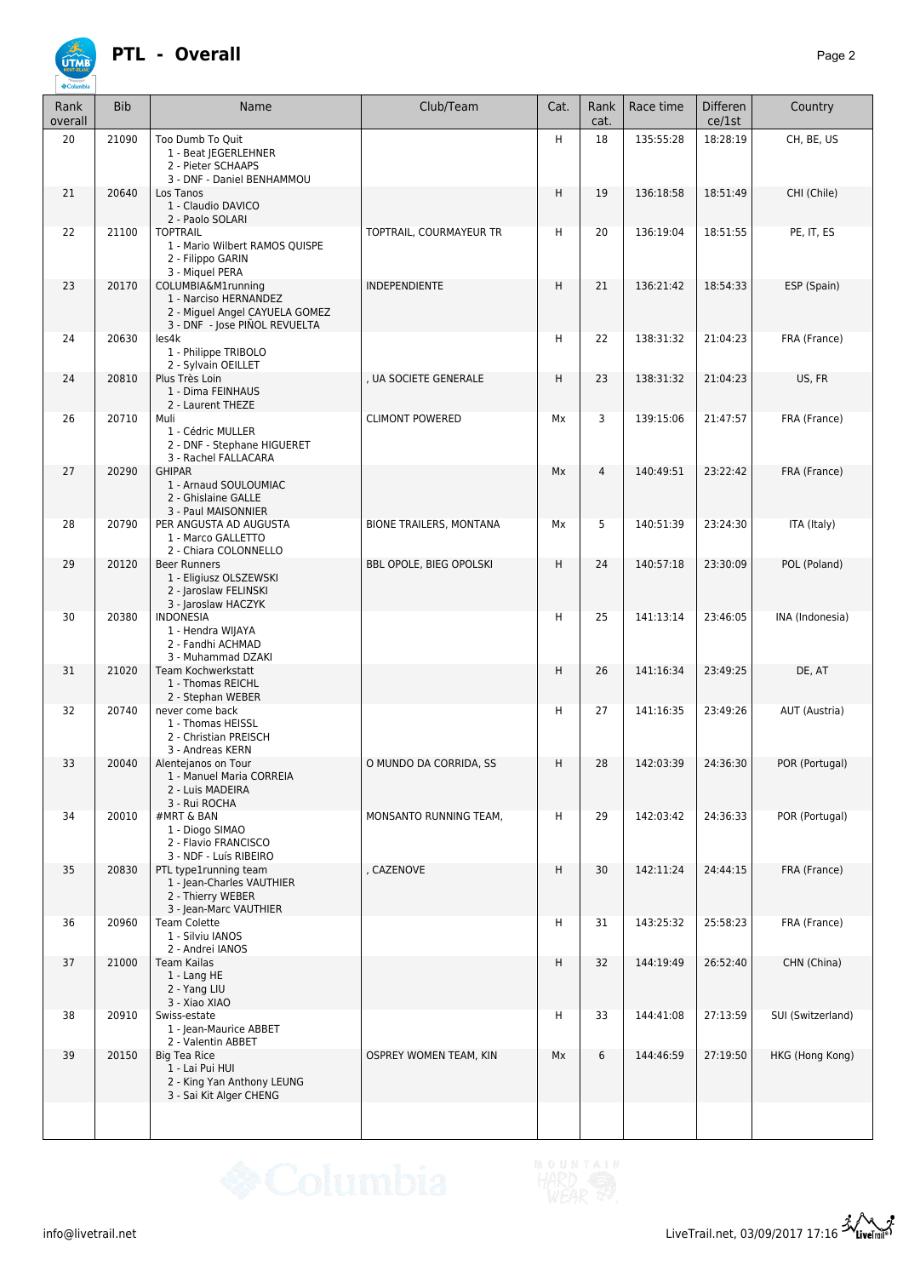

| Rank<br>overall | <b>Bib</b> | Name                                                                                                           | Club/Team                      | Cat. | Rank<br>cat.   | Race time | Differen<br>ce/1st | Country           |
|-----------------|------------|----------------------------------------------------------------------------------------------------------------|--------------------------------|------|----------------|-----------|--------------------|-------------------|
| 20              | 21090      | Too Dumb To Ouit<br>1 - Beat JEGERLEHNER<br>2 - Pieter SCHAAPS<br>3 - DNF - Daniel BENHAMMOU                   |                                | H    | 18             | 135:55:28 | 18:28:19           | CH, BE, US        |
| 21              | 20640      | Los Tanos<br>1 - Claudio DAVICO<br>2 - Paolo SOLARI                                                            |                                | H    | 19             | 136:18:58 | 18:51:49           | CHI (Chile)       |
| 22              | 21100      | <b>TOPTRAIL</b><br>1 - Mario Wilbert RAMOS QUISPE<br>2 - Filippo GARIN<br>3 - Miquel PERA                      | TOPTRAIL, COURMAYEUR TR        | н    | 20             | 136:19:04 | 18:51:55           | PE, IT, ES        |
| 23              | 20170      | COLUMBIA&M1running<br>1 - Narciso HERNANDEZ<br>2 - Miguel Angel CAYUELA GOMEZ<br>3 - DNF - Jose PIÑOL REVUELTA | INDEPENDIENTE                  | H    | 21             | 136:21:42 | 18:54:33           | ESP (Spain)       |
| 24              | 20630      | les4k<br>1 - Philippe TRIBOLO<br>2 - Sylvain OEILLET                                                           |                                | Η    | 22             | 138:31:32 | 21:04:23           | FRA (France)      |
| 24              | 20810      | Plus Très Loin<br>1 - Dima FEINHAUS<br>2 - Laurent THEZE                                                       | , UA SOCIETE GENERALE          | H    | 23             | 138:31:32 | 21:04:23           | US, FR            |
| 26              | 20710      | Muli<br>1 - Cédric MULLER<br>2 - DNF - Stephane HIGUERET<br>3 - Rachel FALLACARA                               | <b>CLIMONT POWERED</b>         | Мx   | 3              | 139:15:06 | 21:47:57           | FRA (France)      |
| 27              | 20290      | <b>GHIPAR</b><br>1 - Arnaud SOULOUMIAC<br>2 - Ghislaine GALLE<br>3 - Paul MAISONNIER                           |                                | Mx   | $\overline{4}$ | 140:49:51 | 23:22:42           | FRA (France)      |
| 28              | 20790      | PER ANGUSTA AD AUGUSTA<br>1 - Marco GALLETTO<br>2 - Chiara COLONNELLO                                          | <b>BIONE TRAILERS, MONTANA</b> | Mx   | 5              | 140:51:39 | 23:24:30           | ITA (Italy)       |
| 29              | 20120      | <b>Beer Runners</b><br>1 - Eligiusz OLSZEWSKI<br>2 - Jaroslaw FELINSKI<br>3 - Jaroslaw HACZYK                  | BBL OPOLE, BIEG OPOLSKI        | H    | 24             | 140:57:18 | 23:30:09           | POL (Poland)      |
| 30              | 20380      | <b>INDONESIA</b><br>1 - Hendra WIJAYA<br>2 - Fandhi ACHMAD<br>3 - Muhammad DZAKI                               |                                | H    | 25             | 141:13:14 | 23:46:05           | INA (Indonesia)   |
| 31              | 21020      | Team Kochwerkstatt<br>1 - Thomas REICHL<br>2 - Stephan WEBER                                                   |                                | H    | 26             | 141:16:34 | 23:49:25           | DE, AT            |
| 32              | 20740      | never come back<br>1 - Thomas HEISSL<br>2 - Christian PREISCH<br>3 - Andreas KERN                              |                                | н    | 27             | 141:16:35 | 23:49:26           | AUT (Austria)     |
| 33              | 20040      | Alentejanos on Tour<br>1 - Manuel Maria CORREIA<br>2 - Luis MADEIRA<br>3 - Rui ROCHA                           | O MUNDO DA CORRIDA, SS         | H    | 28             | 142:03:39 | 24:36:30           | POR (Portugal)    |
| 34              | 20010      | #MRT & BAN<br>1 - Diogo SIMAO<br>2 - Flavio FRANCISCO<br>3 - NDF - Luís RIBEIRO                                | MONSANTO RUNNING TEAM,         | Η    | 29             | 142:03:42 | 24:36:33           | POR (Portugal)    |
| 35              | 20830      | PTL type1running team<br>1 - Jean-Charles VAUTHIER<br>2 - Thierry WEBER<br>3 - Jean-Marc VAUTHIER              | , CAZENOVE                     | H    | 30             | 142:11:24 | 24:44:15           | FRA (France)      |
| 36              | 20960      | <b>Team Colette</b><br>1 - Silviu IANOS<br>2 - Andrei IANOS                                                    |                                | н    | 31             | 143:25:32 | 25:58:23           | FRA (France)      |
| 37              | 21000      | <b>Team Kailas</b><br>1 - Lang HE<br>2 - Yang LIU<br>3 - Xiao XIAO                                             |                                | H    | 32             | 144:19:49 | 26:52:40           | CHN (China)       |
| 38              | 20910      | Swiss-estate<br>1 - Jean-Maurice ABBET<br>2 - Valentin ABBET                                                   |                                | Н    | 33             | 144:41:08 | 27:13:59           | SUI (Switzerland) |
| 39              | 20150      | <b>Big Tea Rice</b><br>1 - Lai Pui HUI<br>2 - King Yan Anthony LEUNG<br>3 - Sai Kit Alger CHENG                | OSPREY WOMEN TEAM, KIN         | Mx   | 6              | 144:46:59 | 27:19:50           | HKG (Hong Kong)   |
|                 |            |                                                                                                                |                                |      |                |           |                    |                   |

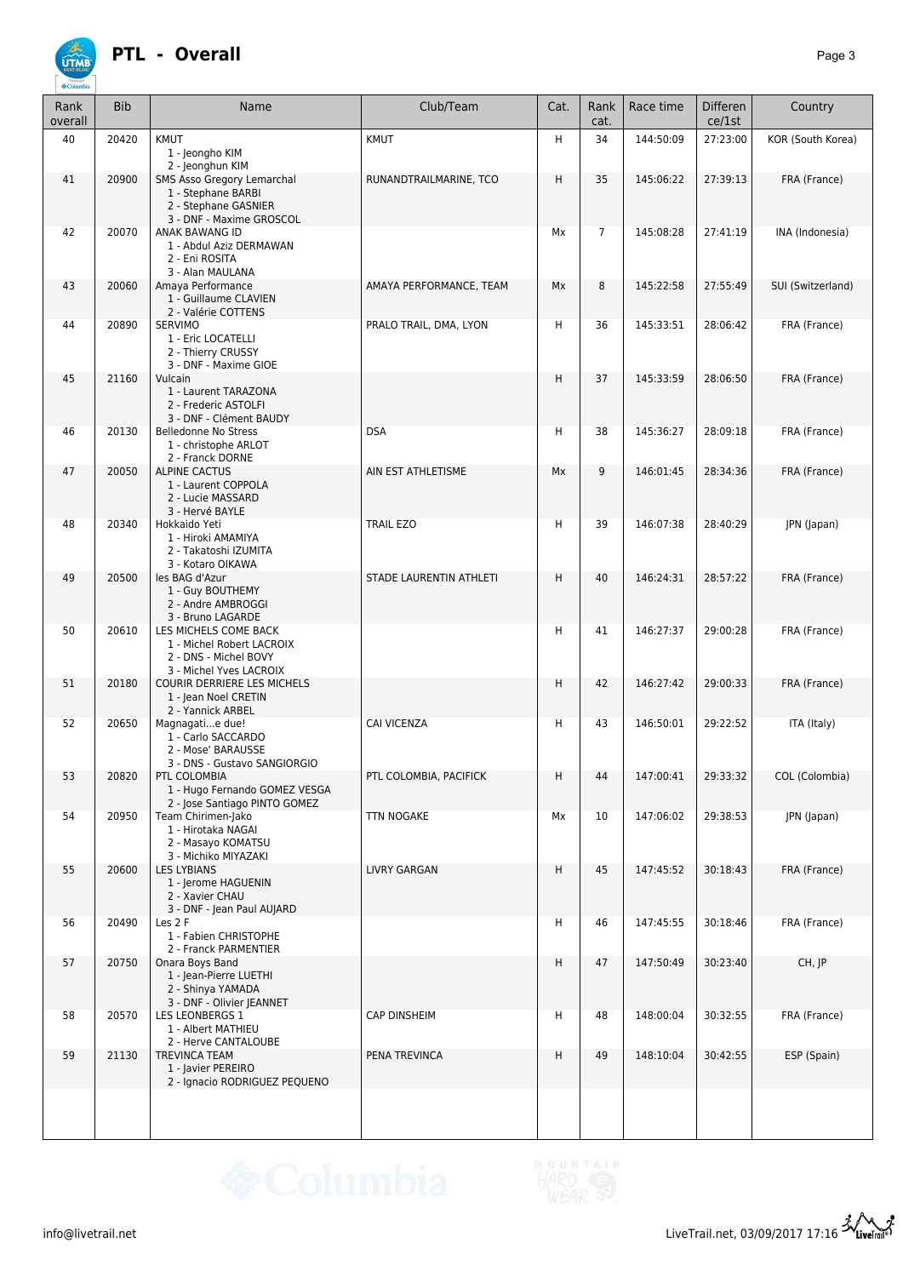

## **PTL - Overall** *Page 3*

| Rank<br>overall | <b>Bib</b> | Name                                                                                                                            | Club/Team               | Cat. | Rank<br>cat.   | Race time          | <b>Differen</b><br>ce/1st | Country           |
|-----------------|------------|---------------------------------------------------------------------------------------------------------------------------------|-------------------------|------|----------------|--------------------|---------------------------|-------------------|
| 40              | 20420      | KMUT<br>1 - Jeongho KIM                                                                                                         | KMUT                    | H    | 34             | 144:50:09          | 27:23:00                  | KOR (South Korea) |
| 41              | 20900      | 2 - Jeonghun KIM<br><b>SMS Asso Gregory Lemarchal</b><br>1 - Stephane BARBI<br>2 - Stephane GASNIER<br>3 - DNF - Maxime GROSCOL | RUNANDTRAILMARINE, TCO  | H    | 35             | 145:06:22          | 27:39:13                  | FRA (France)      |
| 42              | 20070      | ANAK BAWANG ID<br>1 - Abdul Aziz DERMAWAN<br>2 - Eni ROSITA<br>3 - Alan MAULANA                                                 |                         | Mx   | $\overline{7}$ | 145:08:28          | 27:41:19                  | INA (Indonesia)   |
| 43              | 20060      | Amaya Performance<br>1 - Guillaume CLAVIEN<br>2 - Valérie COTTENS                                                               | AMAYA PERFORMANCE, TEAM | Mx   | 8              | 145:22:58          | 27:55:49                  | SUI (Switzerland) |
| 44              | 20890      | <b>SERVIMO</b><br>1 - Eric LOCATELLI<br>2 - Thierry CRUSSY<br>3 - DNF - Maxime GIOE                                             | PRALO TRAIL, DMA, LYON  | Н    | 36             | 145:33:51          | 28:06:42                  | FRA (France)      |
| 45              | 21160      | Vulcain<br>1 - Laurent TARAZONA<br>2 - Frederic ASTOLFI<br>3 - DNF - Clément BAUDY                                              |                         | H    | 37             | 145:33:59          | 28:06:50                  | FRA (France)      |
| 46              | 20130      | <b>Belledonne No Stress</b><br>1 - christophe ARLOT<br>2 - Franck DORNE                                                         | <b>DSA</b>              | H    | 38             | 145:36:27          | 28:09:18                  | FRA (France)      |
| 47              | 20050      | <b>ALPINE CACTUS</b><br>1 - Laurent COPPOLA<br>2 - Lucie MASSARD<br>3 - Hervé BAYLE                                             | AIN EST ATHLETISME      | Mx   | 9              | 146:01:45          | 28:34:36                  | FRA (France)      |
| 48              | 20340      | Hokkaido Yeti<br>1 - Hiroki AMAMIYA<br>2 - Takatoshi IZUMITA<br>3 - Kotaro OIKAWA                                               | <b>TRAIL EZO</b>        | H    | 39             | 146:07:38          | 28:40:29                  | JPN (Japan)       |
| 49              | 20500      | les BAG d'Azur<br>1 - Guy BOUTHEMY<br>2 - Andre AMBROGGI<br>3 - Bruno LAGARDE                                                   | STADE LAURENTIN ATHLETI | H    | 40             | 146:24:31          | 28:57:22                  | FRA (France)      |
| 50              | 20610      | LES MICHELS COME BACK<br>1 - Michel Robert LACROIX<br>2 - DNS - Michel BOVY<br>3 - Michel Yves LACROIX                          |                         | H    | 41             | 146:27:37          | 29:00:28                  | FRA (France)      |
| 51              | 20180      | COURIR DERRIERE LES MICHELS<br>1 - Jean Noel CRETIN<br>2 - Yannick ARBEL                                                        |                         | H    | 42             | 146:27:42          | 29:00:33                  | FRA (France)      |
| 52              | 20650      | Magnagatie due!<br>1 - Carlo SACCARDO<br>2 - Mose' BARAUSSE<br>3 - DNS - Gustavo SANGIORGIO                                     | <b>CAI VICENZA</b>      | H    | 43             | 146:50:01          | 29:22:52                  | ITA (Italy)       |
| 53              | 20820      | <b>PTL COLOMBIA</b><br>1 - Hugo Fernando GOMEZ VESGA<br>2 - Jose Santiago PINTO GOMEZ                                           | PTL COLOMBIA, PACIFICK  | H.   | 44             | 147:00:41 29:33:32 |                           | COL (Colombia)    |
| 54              | 20950      | Team Chirimen-Jako<br>1 - Hirotaka NAGAI<br>2 - Masayo KOMATSU<br>3 - Michiko MIYAZAKI                                          | TTN NOGAKE              | Мx   | 10             | 147:06:02          | 29:38:53                  | JPN (Japan)       |
| 55              | 20600      | <b>LES LYBIANS</b><br>1 - Jerome HAGUENIN<br>2 - Xavier CHAU<br>3 - DNF - Jean Paul AUJARD                                      | <b>LIVRY GARGAN</b>     | H    | 45             | 147:45:52          | 30:18:43                  | FRA (France)      |
| 56              | 20490      | Les 2 F<br>1 - Fabien CHRISTOPHE<br>2 - Franck PARMENTIER                                                                       |                         | H    | 46             | 147:45:55          | 30:18:46                  | FRA (France)      |
| 57              | 20750      | Onara Boys Band<br>1 - Jean-Pierre LUETHI<br>2 - Shinya YAMADA<br>3 - DNF - Olivier JEANNET                                     |                         | H    | 47             | 147:50:49          | 30:23:40                  | $CH,$ $IP$        |
| 58              | 20570      | LES LEONBERGS 1<br>1 - Albert MATHIEU<br>2 - Herve CANTALOUBE                                                                   | <b>CAP DINSHEIM</b>     | н    | 48             | 148:00:04          | 30:32:55                  | FRA (France)      |
| 59              | 21130      | <b>TREVINCA TEAM</b><br>1 - Javier PEREIRO<br>2 - Ignacio RODRIGUEZ PEQUENO                                                     | PENA TREVINCA           | H    | 49             | 148:10:04          | 30:42:55                  | ESP (Spain)       |
|                 |            |                                                                                                                                 |                         |      |                |                    |                           |                   |